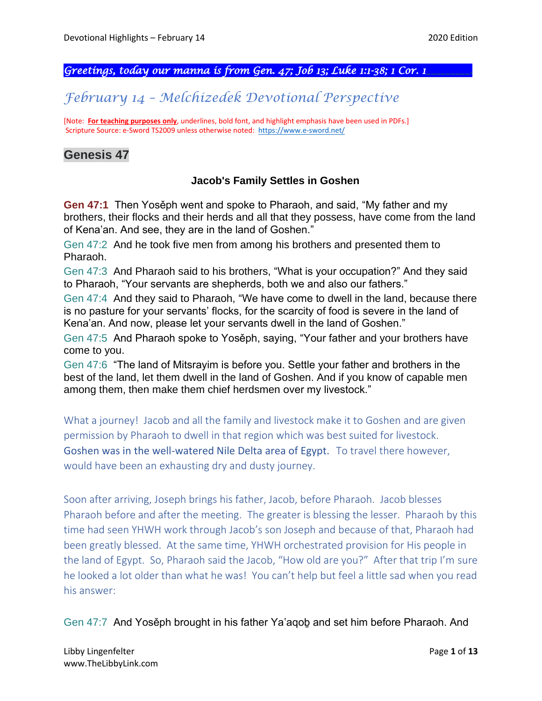## *Greetings, today our manna is from Gen. 47; Job 13; Luke 1:1-38; 1 Cor. 1\_\_\_\_\_\_\_\_\_.*

# *February 14 – Melchizedek Devotional Perspective*

[Note: **For teaching purposes only**, underlines, bold font, and highlight emphasis have been used in PDFs.] Scripture Source: e-Sword TS2009 unless otherwise noted: <https://www.e-sword.net/>

## **Genesis 47**

#### **Jacob's Family Settles in Goshen**

**Gen 47:1** Then Yosěph went and spoke to Pharaoh, and said, "My father and my brothers, their flocks and their herds and all that they possess, have come from the land of Kena'an. And see, they are in the land of Goshen."

Gen 47:2 And he took five men from among his brothers and presented them to Pharaoh.

Gen 47:3 And Pharaoh said to his brothers, "What is your occupation?" And they said to Pharaoh, "Your servants are shepherds, both we and also our fathers."

Gen 47:4 And they said to Pharaoh, "We have come to dwell in the land, because there is no pasture for your servants' flocks, for the scarcity of food is severe in the land of Kena'an. And now, please let your servants dwell in the land of Goshen."

Gen 47:5 And Pharaoh spoke to Yosěph, saying, "Your father and your brothers have come to you.

Gen 47:6 "The land of Mitsrayim is before you. Settle your father and brothers in the best of the land, let them dwell in the land of Goshen. And if you know of capable men among them, then make them chief herdsmen over my livestock."

What a journey! Jacob and all the family and livestock make it to Goshen and are given permission by Pharaoh to dwell in that region which was best suited for livestock. Goshen was in the well-watered Nile Delta area of Egypt. To travel there however, would have been an exhausting dry and dusty journey.

Soon after arriving, Joseph brings his father, Jacob, before Pharaoh. Jacob blesses Pharaoh before and after the meeting. The greater is blessing the lesser. Pharaoh by this time had seen YHWH work through Jacob's son Joseph and because of that, Pharaoh had been greatly blessed. At the same time, YHWH orchestrated provision for His people in the land of Egypt. So, Pharaoh said the Jacob, "How old are you?" After that trip I'm sure he looked a lot older than what he was! You can't help but feel a little sad when you read his answer:

Gen 47:7 And Yosěph brought in his father Ya'aqoḇ and set him before Pharaoh. And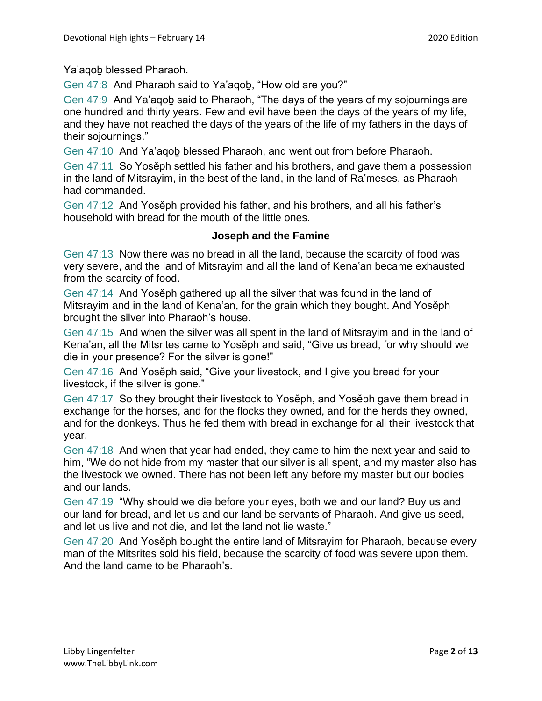Ya'aqoḇ blessed Pharaoh.

Gen 47:8 And Pharaoh said to Ya'agob, "How old are you?"

Gen 47:9 And Ya'aqoḇ said to Pharaoh, "The days of the years of my sojournings are one hundred and thirty years. Few and evil have been the days of the years of my life, and they have not reached the days of the years of the life of my fathers in the days of their sojournings."

Gen 47:10 And Ya'aqoḇ blessed Pharaoh, and went out from before Pharaoh.

Gen 47:11 So Yosěph settled his father and his brothers, and gave them a possession in the land of Mitsrayim, in the best of the land, in the land of Ra'meses, as Pharaoh had commanded.

Gen 47:12 And Yosěph provided his father, and his brothers, and all his father's household with bread for the mouth of the little ones.

### **Joseph and the Famine**

Gen 47:13 Now there was no bread in all the land, because the scarcity of food was very severe, and the land of Mitsrayim and all the land of Kena'an became exhausted from the scarcity of food.

Gen 47:14 And Yosěph gathered up all the silver that was found in the land of Mitsrayim and in the land of Kena'an, for the grain which they bought. And Yosěph brought the silver into Pharaoh's house.

Gen 47:15 And when the silver was all spent in the land of Mitsrayim and in the land of Kena'an, all the Mitsrites came to Yosěph and said, "Give us bread, for why should we die in your presence? For the silver is gone!"

Gen 47:16 And Yosěph said, "Give your livestock, and I give you bread for your livestock, if the silver is gone."

Gen 47:17 So they brought their livestock to Yosěph, and Yosěph gave them bread in exchange for the horses, and for the flocks they owned, and for the herds they owned, and for the donkeys. Thus he fed them with bread in exchange for all their livestock that year.

Gen 47:18 And when that year had ended, they came to him the next year and said to him, "We do not hide from my master that our silver is all spent, and my master also has the livestock we owned. There has not been left any before my master but our bodies and our lands.

Gen 47:19 "Why should we die before your eyes, both we and our land? Buy us and our land for bread, and let us and our land be servants of Pharaoh. And give us seed, and let us live and not die, and let the land not lie waste."

Gen 47:20 And Yosěph bought the entire land of Mitsrayim for Pharaoh, because every man of the Mitsrites sold his field, because the scarcity of food was severe upon them. And the land came to be Pharaoh's.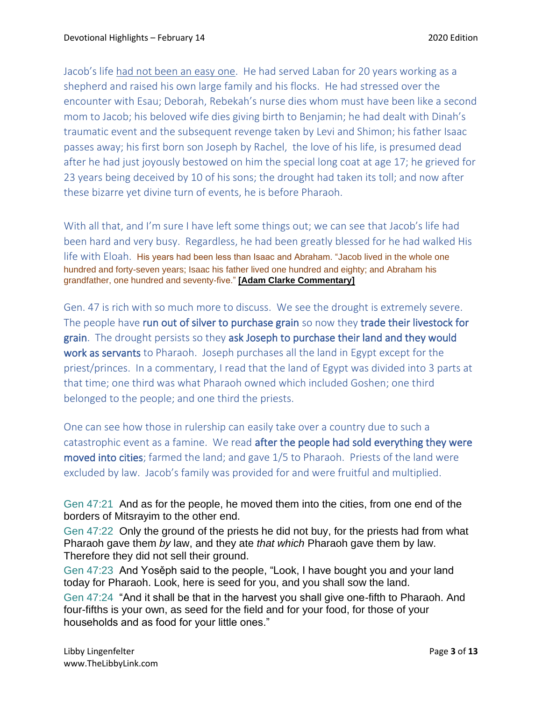Jacob's life had not been an easy one. He had served Laban for 20 years working as a shepherd and raised his own large family and his flocks. He had stressed over the encounter with Esau; Deborah, Rebekah's nurse dies whom must have been like a second mom to Jacob; his beloved wife dies giving birth to Benjamin; he had dealt with Dinah's traumatic event and the subsequent revenge taken by Levi and Shimon; his father Isaac passes away; his first born son Joseph by Rachel, the love of his life, is presumed dead after he had just joyously bestowed on him the special long coat at age 17; he grieved for 23 years being deceived by 10 of his sons; the drought had taken its toll; and now after these bizarre yet divine turn of events, he is before Pharaoh.

With all that, and I'm sure I have left some things out; we can see that Jacob's life had been hard and very busy. Regardless, he had been greatly blessed for he had walked His life with Eloah. His years had been less than Isaac and Abraham. "Jacob lived in the whole one hundred and forty-seven years; Isaac his father lived one hundred and eighty; and Abraham his grandfather, one hundred and seventy-five." **[Adam Clarke Commentary]**

Gen. 47 is rich with so much more to discuss. We see the drought is extremely severe. The people have run out of silver to purchase grain so now they trade their livestock for grain. The drought persists so they ask Joseph to purchase their land and they would work as servants to Pharaoh. Joseph purchases all the land in Egypt except for the priest/princes. In a commentary, I read that the land of Egypt was divided into 3 parts at that time; one third was what Pharaoh owned which included Goshen; one third belonged to the people; and one third the priests.

One can see how those in rulership can easily take over a country due to such a catastrophic event as a famine. We read after the people had sold everything they were moved into cities; farmed the land; and gave 1/5 to Pharaoh. Priests of the land were excluded by law. Jacob's family was provided for and were fruitful and multiplied.

Gen 47:21 And as for the people, he moved them into the cities, from one end of the borders of Mitsrayim to the other end.

Gen 47:22 Only the ground of the priests he did not buy, for the priests had from what Pharaoh gave them *by* law, and they ate *that which* Pharaoh gave them by law. Therefore they did not sell their ground.

Gen 47:23 And Yosěph said to the people, "Look, I have bought you and your land today for Pharaoh. Look, here is seed for you, and you shall sow the land.

Gen 47:24 "And it shall be that in the harvest you shall give one-fifth to Pharaoh. And four-fifths is your own, as seed for the field and for your food, for those of your households and as food for your little ones."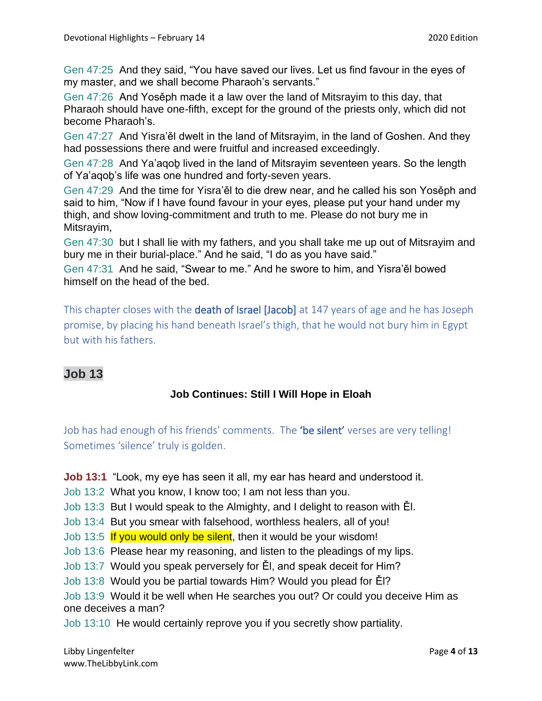Gen 47:25 And they said, "You have saved our lives. Let us find favour in the eyes of my master, and we shall become Pharaoh's servants."

Gen 47:26 And Yosěph made it a law over the land of Mitsrayim to this day, that Pharaoh should have one-fifth, except for the ground of the priests only, which did not become Pharaoh's.

Gen 47:27 And Yisra'ěl dwelt in the land of Mitsrayim, in the land of Goshen. And they had possessions there and were fruitful and increased exceedingly.

Gen 47:28 And Ya'aqoḇ lived in the land of Mitsrayim seventeen years. So the length of Ya'aqoḇ's life was one hundred and forty-seven years.

Gen 47:29 And the time for Yisra'ěl to die drew near, and he called his son Yosěph and said to him, "Now if I have found favour in your eyes, please put your hand under my thigh, and show loving-commitment and truth to me. Please do not bury me in Mitsrayim,

Gen 47:30 but I shall lie with my fathers, and you shall take me up out of Mitsrayim and bury me in their burial-place." And he said, "I do as you have said."

Gen 47:31 And he said, "Swear to me." And he swore to him, and Yisra'ěl bowed himself on the head of the bed.

This chapter closes with the **death of Israel [Jacob]** at 147 years of age and he has Joseph promise, by placing his hand beneath Israel's thigh, that he would not bury him in Egypt but with his fathers.

# **Job 13**

## **Job Continues: Still I Will Hope in Eloah**

Job has had enough of his friends' comments. The 'be silent' verses are very telling! Sometimes 'silence' truly is golden.

**Job 13:1** "Look, my eye has seen it all, my ear has heard and understood it.

- Job 13:2 What you know, I know too; I am not less than you.
- Job 13:3 But I would speak to the Almighty, and I delight to reason with Ěl.
- Job 13:4 But you smear with falsehood, worthless healers, all of you!
- Job 13:5 If you would only be silent, then it would be your wisdom!
- Job 13:6 Please hear my reasoning, and listen to the pleadings of my lips.
- Job 13:7 Would you speak perversely for Ěl, and speak deceit for Him?
- Job 13:8 Would you be partial towards Him? Would you plead for Ěl?

Job 13:9 Would it be well when He searches you out? Or could you deceive Him as one deceives a man?

Job 13:10 He would certainly reprove you if you secretly show partiality.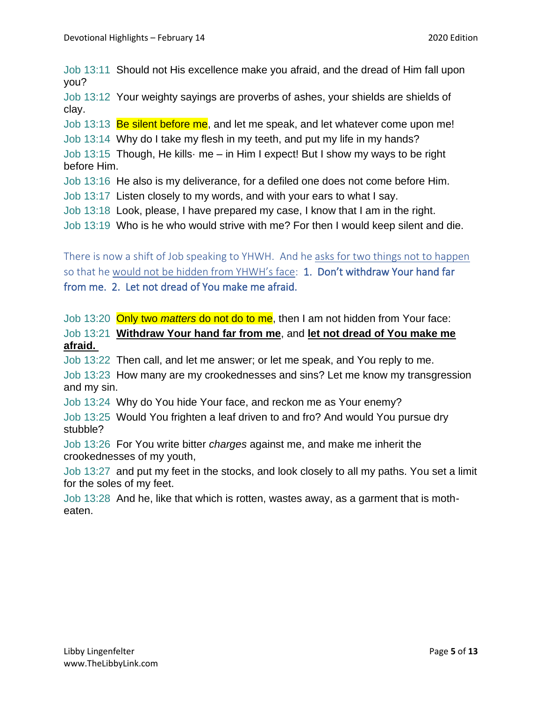Job 13:11 Should not His excellence make you afraid, and the dread of Him fall upon you?

Job 13:12 Your weighty sayings are proverbs of ashes, your shields are shields of clay.

Job 13:13 Be silent before me, and let me speak, and let whatever come upon me!

Job 13:14 Why do I take my flesh in my teeth, and put my life in my hands?

Job 13:15 Though, He kills· me – in Him I expect! But I show my ways to be right before Him.

Job 13:16 He also is my deliverance, for a defiled one does not come before Him.

Job 13:17 Listen closely to my words, and with your ears to what I say.

Job 13:18 Look, please, I have prepared my case, I know that I am in the right.

Job 13:19 Who is he who would strive with me? For then I would keep silent and die.

There is now a shift of Job speaking to YHWH. And he asks for two things not to happen so that he would not be hidden from YHWH's face: 1. Don't withdraw Your hand far from me. 2. Let not dread of You make me afraid.

Job 13:20 Only two *matters* do not do to me, then I am not hidden from Your face:

Job 13:21 **Withdraw Your hand far from me**, and **let not dread of You make me afraid.**

Job 13:22 Then call, and let me answer; or let me speak, and You reply to me.

Job 13:23 How many are my crookednesses and sins? Let me know my transgression and my sin.

Job 13:24 Why do You hide Your face, and reckon me as Your enemy?

Job 13:25 Would You frighten a leaf driven to and fro? And would You pursue dry stubble?

Job 13:26 For You write bitter *charges* against me, and make me inherit the crookednesses of my youth,

Job 13:27 and put my feet in the stocks, and look closely to all my paths. You set a limit for the soles of my feet.

Job 13:28 And he, like that which is rotten, wastes away, as a garment that is motheaten.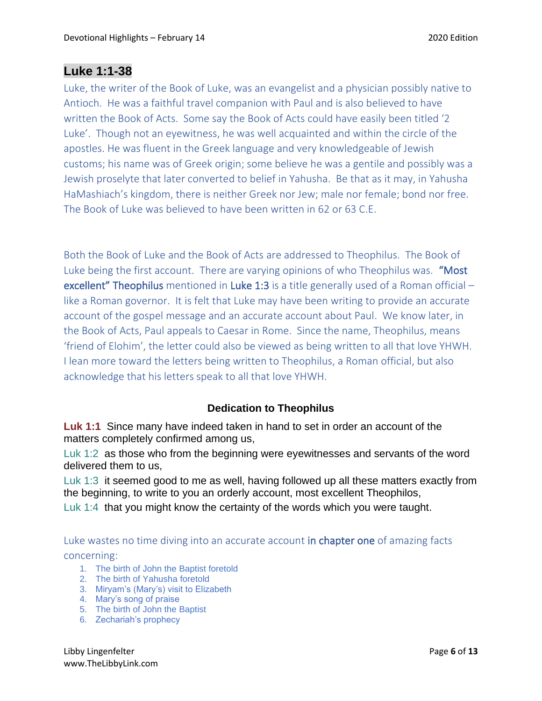# **Luke 1:1-38**

Luke, the writer of the Book of Luke, was an evangelist and a physician possibly native to Antioch. He was a faithful travel companion with Paul and is also believed to have written the Book of Acts. Some say the Book of Acts could have easily been titled '2 Luke'. Though not an eyewitness, he was well acquainted and within the circle of the apostles. He was fluent in the Greek language and very knowledgeable of Jewish customs; his name was of Greek origin; some believe he was a gentile and possibly was a Jewish proselyte that later converted to belief in Yahusha. Be that as it may, in Yahusha HaMashiach's kingdom, there is neither Greek nor Jew; male nor female; bond nor free. The Book of Luke was believed to have been written in 62 or 63 C.E.

Both the Book of Luke and the Book of Acts are addressed to Theophilus. The Book of Luke being the first account. There are varying opinions of who Theophilus was. "Most excellent" Theophilus mentioned in Luke 1:3 is a title generally used of a Roman official  $$ like a Roman governor. It is felt that Luke may have been writing to provide an accurate account of the gospel message and an accurate account about Paul. We know later, in the Book of Acts, Paul appeals to Caesar in Rome. Since the name, Theophilus, means 'friend of Elohim', the letter could also be viewed as being written to all that love YHWH. I lean more toward the letters being written to Theophilus, a Roman official, but also acknowledge that his letters speak to all that love YHWH.

### **Dedication to Theophilus**

**Luk 1:1** Since many have indeed taken in hand to set in order an account of the matters completely confirmed among us,

Luk 1:2 as those who from the beginning were eyewitnesses and servants of the word delivered them to us,

Luk 1:3 it seemed good to me as well, having followed up all these matters exactly from the beginning, to write to you an orderly account, most excellent Theophilos,

Luk 1:4 that you might know the certainty of the words which you were taught.

Luke wastes no time diving into an accurate account in chapter one of amazing facts concerning:

- 1. The birth of John the Baptist foretold
- 2. The birth of Yahusha foretold
- 3. Miryam's (Mary's) visit to Elizabeth
- 4. Mary's song of praise
- 5. The birth of John the Baptist
- 6. Zechariah's prophecy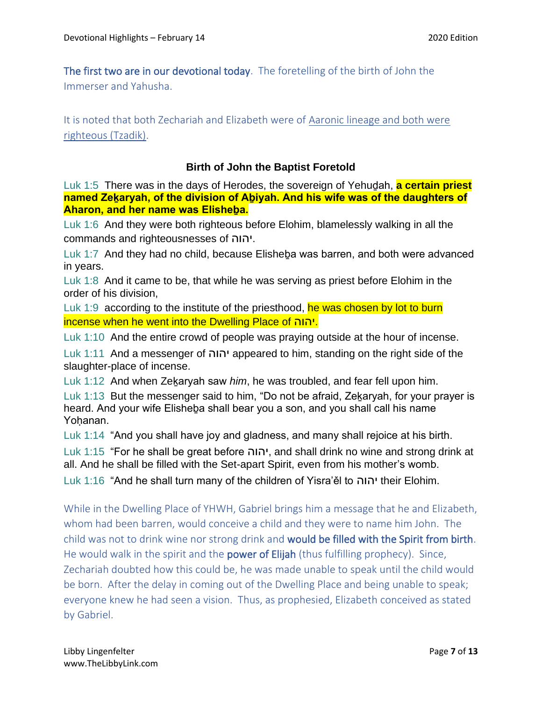The first two are in our devotional today. The foretelling of the birth of John the Immerser and Yahusha.

It is noted that both Zechariah and Elizabeth were of Aaronic lineage and both were righteous (Tzadik).

#### **Birth of John the Baptist Foretold**

Luk 1:5 There was in the days of Herodes, the sovereign of Yehuḏah, **a certain priest named Zekaryah, of the division of Abiyah. And his wife was of the daughters of Aharon, and her name was Elisheḇa.**

Luk 1:6 And they were both righteous before Elohim, blamelessly walking in all the commands and righteousnesses of יהוה.

Luk 1:7 And they had no child, because Elisheba was barren, and both were advanced in years.

Luk 1:8 And it came to be, that while he was serving as priest before Elohim in the order of his division,

Luk 1:9 according to the institute of the priesthood, he was chosen by lot to burn incense when he went into the Dwelling Place of יהוה.

Luk 1:10 And the entire crowd of people was praying outside at the hour of incense.

Luk 1:11 And a messenger of יהוה appeared to him, standing on the right side of the slaughter-place of incense.

Luk 1:12 And when Zeḵaryah saw *him*, he was troubled, and fear fell upon him.

Luk 1:13 But the messenger said to him, "Do not be afraid, Zekaryah, for your prayer is heard. And your wife Elisheḇa shall bear you a son, and you shall call his name Yohanan.

Luk 1:14 "And you shall have joy and gladness, and many shall rejoice at his birth.

Luk 1:15 "For he shall be great before יהוה, and shall drink no wine and strong drink at all. And he shall be filled with the Set-apart Spirit, even from his mother's womb.

Luk 1:16 "And he shall turn many of the children of Yisra'ěl to יהוה their Elohim.

While in the Dwelling Place of YHWH, Gabriel brings him a message that he and Elizabeth, whom had been barren, would conceive a child and they were to name him John. The child was not to drink wine nor strong drink and would be filled with the Spirit from birth. He would walk in the spirit and the **power of Elijah** (thus fulfilling prophecy). Since, Zechariah doubted how this could be, he was made unable to speak until the child would be born. After the delay in coming out of the Dwelling Place and being unable to speak; everyone knew he had seen a vision. Thus, as prophesied, Elizabeth conceived as stated by Gabriel.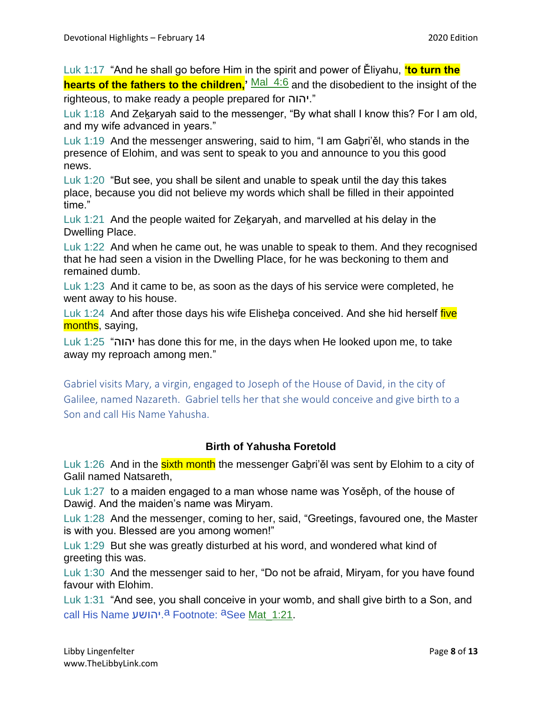Luk 1:17 "And he shall go before Him in the spirit and power of Ěliyahu, **'to turn the hearts of the fathers to the children.** Mal 4:6 and the disobedient to the insight of the righteous, to make ready a people prepared for יהוה."

Luk 1:18 And Zekaryah said to the messenger, "By what shall I know this? For I am old, and my wife advanced in years."

Luk 1:19 And the messenger answering, said to him, "I am Gaḇri'ěl, who stands in the presence of Elohim, and was sent to speak to you and announce to you this good news.

Luk 1:20 "But see, you shall be silent and unable to speak until the day this takes place, because you did not believe my words which shall be filled in their appointed time."

Luk 1:21 And the people waited for Zekaryah, and marvelled at his delay in the Dwelling Place.

Luk 1:22 And when he came out, he was unable to speak to them. And they recognised that he had seen a vision in the Dwelling Place, for he was beckoning to them and remained dumb.

Luk 1:23 And it came to be, as soon as the days of his service were completed, he went away to his house.

Luk 1:24 And after those days his wife Elisheba conceived. And she hid herself *five* months, saying,

Luk 1:25 "יהוה has done this for me, in the days when He looked upon me, to take away my reproach among men."

Gabriel visits Mary, a virgin, engaged to Joseph of the House of David, in the city of Galilee, named Nazareth. Gabriel tells her that she would conceive and give birth to a Son and call His Name Yahusha.

## **Birth of Yahusha Foretold**

Luk 1:26 And in the sixth month the messenger Gabri'el was sent by Elohim to a city of Galil named Natsareth,

Luk 1:27 to a maiden engaged to a man whose name was Yosěph, of the house of Dawiḏ. And the maiden's name was Miryam.

Luk 1:28 And the messenger, coming to her, said, "Greetings, favoured one, the Master is with you. Blessed are you among women!"

Luk 1:29 But she was greatly disturbed at his word, and wondered what kind of greeting this was.

Luk 1:30 And the messenger said to her, "Do not be afraid, Miryam, for you have found favour with Elohim.

Luk 1:31 "And see, you shall conceive in your womb, and shall give birth to a Son, and call His Name יהושע.<sup>a</sup> Footnote: <sup>a</sup>See <u>Mat\_1:21</u>.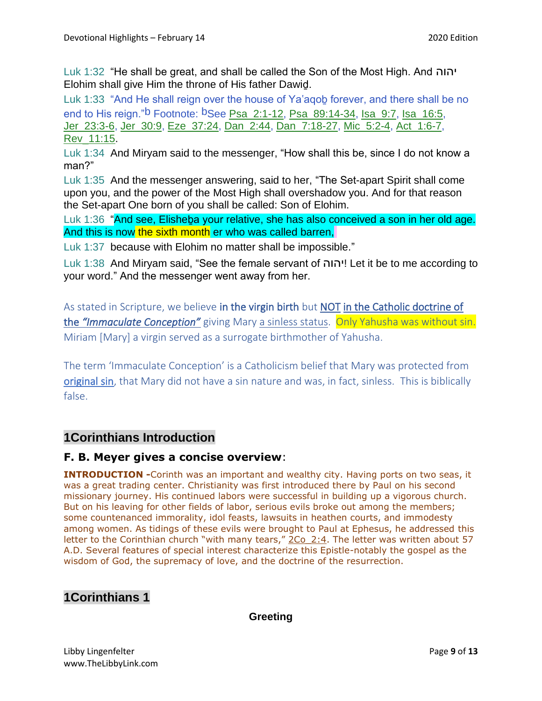Luk 1:32 "He shall be great, and shall be called the Son of the Most High. And יהוה Elohim shall give Him the throne of His father Dawiḏ.

Luk 1:33 "And He shall reign over the house of Ya'aqoḇ forever, and there shall be no end to His reign."<sup>b</sup> Footnote: <sup>b</sup>See Psa 2:1-12, Psa\_89:14-34, Isa\_9:7, Isa\_16:5, Jer\_23:3-6, Jer\_30:9, Eze\_37:24, Dan\_2:44, Dan\_7:18-27, Mic\_5:2-4, Act\_1:6-7, Rev\_11:15.

Luk 1:34 And Miryam said to the messenger, "How shall this be, since I do not know a man?"

Luk 1:35 And the messenger answering, said to her, "The Set-apart Spirit shall come upon you, and the power of the Most High shall overshadow you. And for that reason the Set-apart One born of you shall be called: Son of Elohim.

Luk 1:36 "And see, Elisheba your relative, she has also conceived a son in her old age. And this is now the sixth month er who was called barren,

Luk 1:37 because with Elohim no matter shall be impossible."

Luk 1:38 And Miryam said, "See the female servant of יהוה !Let it be to me according to your word." And the messenger went away from her.

As stated in Scripture, we believe in the virgin birth but NOT in the Catholic doctrine of the *"Immaculate Conception"* giving Mary a sinless status. Only Yahusha was without sin. Miriam [Mary] a virgin served as a surrogate birthmother of Yahusha.

The term 'Immaculate Conception' is a Catholicism belief that Mary was protected from [original sin,](https://www.gotquestions.org/original-sin.html) that Mary did not have a sin nature and was, in fact, sinless. This is biblically false.

# **1Corinthians Introduction**

### **F. B. Meyer gives a concise overview**:

**INTRODUCTION** -Corinth was an important and wealthy city. Having ports on two seas, it was a great trading center. Christianity was first introduced there by Paul on his second missionary journey. His continued labors were successful in building up a vigorous church. But on his leaving for other fields of labor, serious evils broke out among the members; some countenanced immorality, idol feasts, lawsuits in heathen courts, and immodesty among women. As tidings of these evils were brought to Paul at Ephesus, he addressed this letter to the Corinthian church "with many tears," 2Co 2:4. The letter was written about 57 A.D. Several features of special interest characterize this Epistle-notably the gospel as the wisdom of God, the supremacy of love, and the doctrine of the resurrection.

# **1Corinthians 1**

### **Greeting**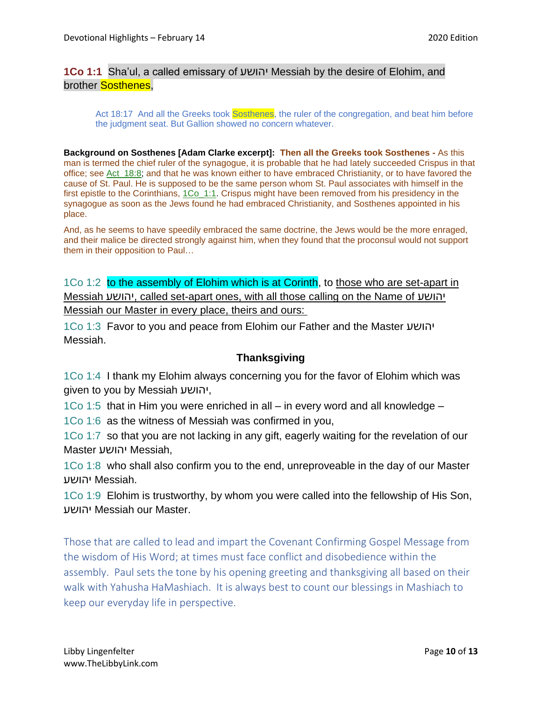### **1Co 1:1** Sha'ul, a called emissary of יהושע Messiah by the desire of Elohim, and brother **Sosthenes**.

Act 18:17 And all the Greeks took Sosthenes, the ruler of the congregation, and beat him before the judgment seat. But Gallion showed no concern whatever.

**Background on Sosthenes [Adam Clarke excerpt]: Then all the Greeks took Sosthenes -** As this man is termed the chief ruler of the synagogue, it is probable that he had lately succeeded Crispus in that office; see Act\_18:8; and that he was known either to have embraced Christianity, or to have favored the cause of St. Paul. He is supposed to be the same person whom St. Paul associates with himself in the first epistle to the Corinthians, 1Co. 1:1. Crispus might have been removed from his presidency in the synagogue as soon as the Jews found he had embraced Christianity, and Sosthenes appointed in his place.

And, as he seems to have speedily embraced the same doctrine, the Jews would be the more enraged, and their malice be directed strongly against him, when they found that the proconsul would not support them in their opposition to Paul…

1Co 1:2 to the assembly of Elohim which is at Corinth, to those who are set-apart in Messiah יהושע, called set-apart ones, with all those calling on the Name of יהושע Messiah our Master in every place, theirs and ours:

1Co 1:3 Favor to you and peace from Elohim our Father and the Master יהושע Messiah.

### **Thanksgiving**

1Co 1:4 I thank my Elohim always concerning you for the favor of Elohim which was given to you by Messiah יהושע,

1Co 1:5 that in Him you were enriched in all – in every word and all knowledge –

1Co 1:6 as the witness of Messiah was confirmed in you,

1Co 1:7 so that you are not lacking in any gift, eagerly waiting for the revelation of our Master יהושע Messiah,

1Co 1:8 who shall also confirm you to the end, unreproveable in the day of our Master .Messiah יהושע

1Co 1:9 Elohim is trustworthy, by whom you were called into the fellowship of His Son, יהושע Messiah our Master.

Those that are called to lead and impart the Covenant Confirming Gospel Message from the wisdom of His Word; at times must face conflict and disobedience within the assembly. Paul sets the tone by his opening greeting and thanksgiving all based on their walk with Yahusha HaMashiach. It is always best to count our blessings in Mashiach to keep our everyday life in perspective.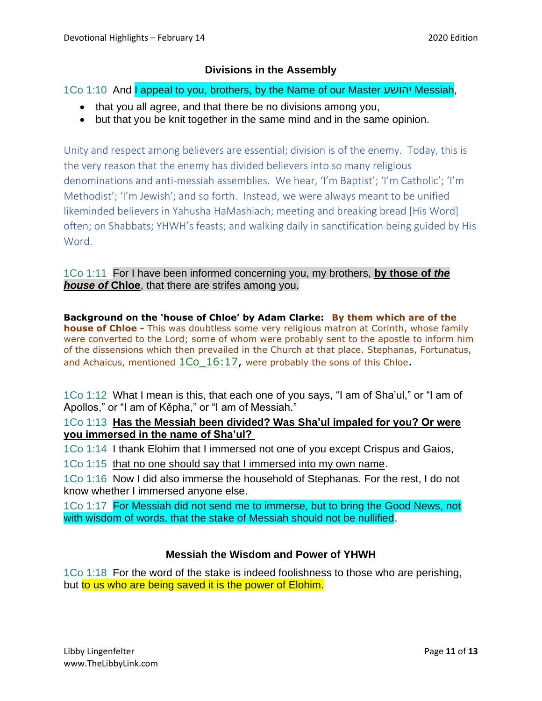### **Divisions in the Assembly**

1Co 1:10 And I appeal to you, brothers, by the Name of our Master יהושע Messiah,

- that you all agree, and that there be no divisions among you,
- but that you be knit together in the same mind and in the same opinion.

Unity and respect among believers are essential; division is of the enemy. Today, this is the very reason that the enemy has divided believers into so many religious denominations and anti-messiah assemblies. We hear, 'I'm Baptist'; 'I'm Catholic'; 'I'm Methodist'; 'I'm Jewish'; and so forth. Instead, we were always meant to be unified likeminded believers in Yahusha HaMashiach; meeting and breaking bread [His Word] often; on Shabbats; YHWH's feasts; and walking daily in sanctification being guided by His Word.

1Co 1:11 For I have been informed concerning you, my brothers, **by those of** *the house of* **Chloe**, that there are strifes among you.

**Background on the 'house of Chloe' by Adam Clarke: By them which are of the house of Chloe -** This was doubtless some very religious matron at Corinth, whose family were converted to the Lord; some of whom were probably sent to the apostle to inform him of the dissensions which then prevailed in the Church at that place. Stephanas, Fortunatus, and Achaicus, mentioned 1Co 16:17, were probably the sons of this Chloe.

1Co 1:12 What I mean is this, that each one of you says, "I am of Sha'ul," or "I am of Apollos," or "I am of Kěpha," or "I am of Messiah."

### 1Co 1:13 **Has the Messiah been divided? Was Sha'ul impaled for you? Or were you immersed in the name of Sha'ul?**

1Co 1:14 I thank Elohim that I immersed not one of you except Crispus and Gaios,

1Co 1:15 that no one should say that I immersed into my own name.

1Co 1:16 Now I did also immerse the household of Stephanas. For the rest, I do not know whether I immersed anyone else.

1Co 1:17 For Messiah did not send me to immerse, but to bring the Good News, not with wisdom of words, that the stake of Messiah should not be nullified.

## **Messiah the Wisdom and Power of YHWH**

1Co 1:18 For the word of the stake is indeed foolishness to those who are perishing, but to us who are being saved it is the power of Elohim.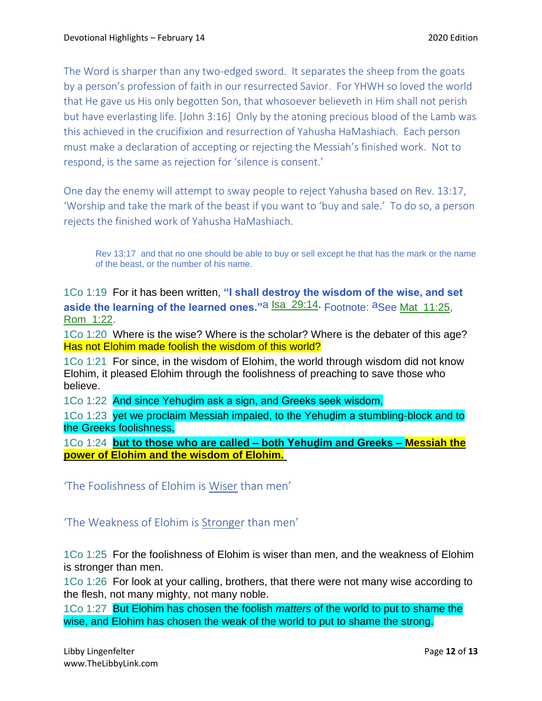The Word is sharper than any two-edged sword. It separates the sheep from the goats by a person's profession of faith in our resurrected Savior. For YHWH so loved the world that He gave us His only begotten Son, that whosoever believeth in Him shall not perish but have everlasting life. [John 3:16] Only by the atoning precious blood of the Lamb was this achieved in the crucifixion and resurrection of Yahusha HaMashiach. Each person must make a declaration of accepting or rejecting the Messiah's finished work. Not to respond, is the same as rejection for 'silence is consent.'

One day the enemy will attempt to sway people to reject Yahusha based on Rev. 13:17, 'Worship and take the mark of the beast if you want to 'buy and sale.' To do so, a person rejects the finished work of Yahusha HaMashiach.

Rev 13:17 and that no one should be able to buy or sell except he that has the mark or the name of the beast, or the number of his name.

1Co 1:19 For it has been written, **"I shall destroy the wisdom of the wise, and set aside the learning of the learned ones.**"a **Isa\_29:14.** Footnote: aSee Mat\_11:25, Rom\_1:22.

1Co 1:20 Where is the wise? Where is the scholar? Where is the debater of this age? Has not Elohim made foolish the wisdom of this world?

1Co 1:21 For since, in the wisdom of Elohim, the world through wisdom did not know Elohim, it pleased Elohim through the foolishness of preaching to save those who believe.

1Co 1:22 And since Yehudim ask a sign, and Greeks seek wisdom,

1Co 1:23 yet we proclaim Messiah impaled, to the Yehudim a stumbling-block and to the Greeks foolishness,

1Co 1:24 **but to those who are called – both Yehuḏim and Greeks – Messiah the power of Elohim and the wisdom of Elohim.**

'The Foolishness of Elohim is Wiser than men'

'The Weakness of Elohim is Stronger than men'

1Co 1:25 For the foolishness of Elohim is wiser than men, and the weakness of Elohim is stronger than men.

1Co 1:26 For look at your calling, brothers, that there were not many wise according to the flesh, not many mighty, not many noble.

1Co 1:27 But Elohim has chosen the foolish *matters* of the world to put to shame the wise, and Elohim has chosen the weak of the world to put to shame the strong.